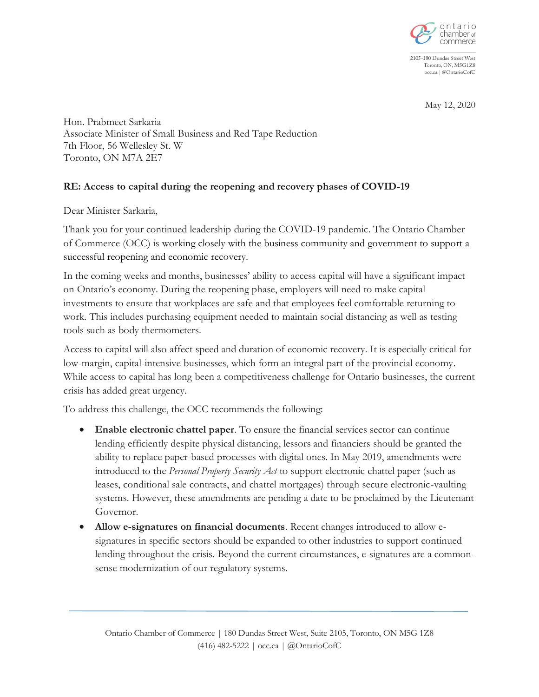

2105-180 Dundas Street West Toronto, ON, M5G1Z8 occ.ca | @OntarioCofC

May 12, 2020

Hon. Prabmeet Sarkaria Associate Minister of Small Business and Red Tape Reduction 7th Floor, 56 Wellesley St. W Toronto, ON M7A 2E7

## **RE: Access to capital during the reopening and recovery phases of COVID-19**

Dear Minister Sarkaria,

Thank you for your continued leadership during the COVID-19 pandemic. The Ontario Chamber of Commerce (OCC) is working closely with the business community and government to support a successful reopening and economic recovery.

In the coming weeks and months, businesses' ability to access capital will have a significant impact on Ontario's economy. During the reopening phase, employers will need to make capital investments to ensure that workplaces are safe and that employees feel comfortable returning to work. This includes purchasing equipment needed to maintain social distancing as well as testing tools such as body thermometers.

Access to capital will also affect speed and duration of economic recovery. It is especially critical for low-margin, capital-intensive businesses, which form an integral part of the provincial economy. While access to capital has long been a competitiveness challenge for Ontario businesses, the current crisis has added great urgency.

To address this challenge, the OCC recommends the following:

- **Enable electronic chattel paper**. To ensure the financial services sector can continue lending efficiently despite physical distancing, lessors and financiers should be granted the ability to replace paper-based processes with digital ones. In May 2019, amendments were introduced to the *Personal Property Security Act* to support electronic chattel paper (such as leases, conditional sale contracts, and chattel mortgages) through secure electronic-vaulting systems. However, these amendments are pending a date to be proclaimed by the Lieutenant Governor.
- **Allow e-signatures on financial documents**. Recent changes introduced to allow esignatures in specific sectors should be expanded to other industries to support continued lending throughout the crisis. Beyond the current circumstances, e-signatures are a commonsense modernization of our regulatory systems.